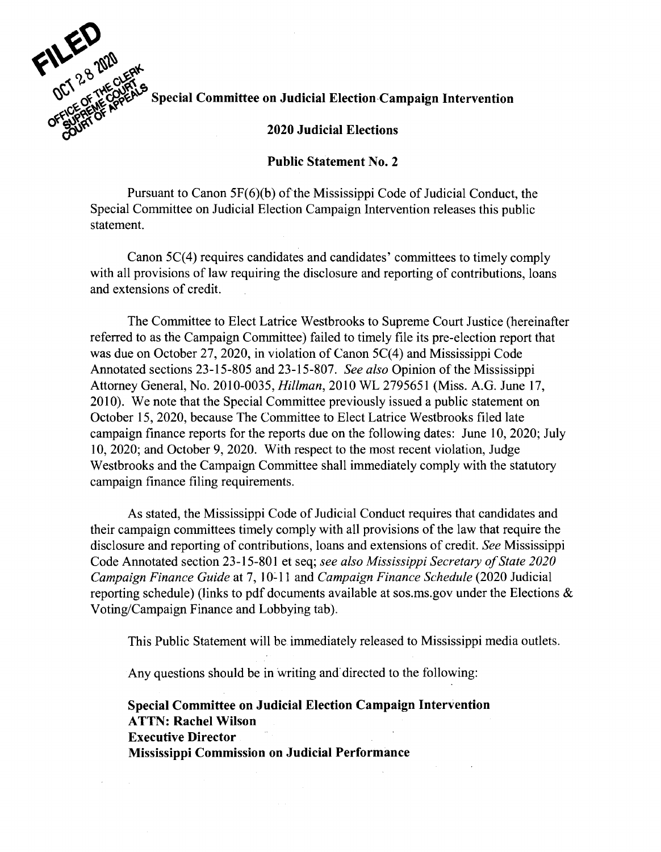

## $S$ pecial Committee on Judicial Election Campaign Intervention

## **2020 Judicial Elections**

## **Public Statement No. 2**

Pursuant to Canon  $5F(6)(b)$  of the Mississippi Code of Judicial Conduct, the Special Committee on Judicial Election Campaign Intervention releases this public statement.

Canon 5C(4) requires candidates and candidates' committees to timely comply with all provisions of law requiring the disclosure and reporting of contributions, loans and extensions of credit.

The Committee to Elect Latrice Westbrooks to Supreme Court Justice (hereinafter referred to as the Campaign Committee) failed to timely file its pre-election report that was due on October 27, 2020, in violation of Canon  $5C(4)$  and Mississippi Code Annotated sections 23-15-805 and 23-15-807. *See also* Opinion of the Mississippi Attorney General, No. 2010-0035, *Hillman,* 2010 WL 2795651 (Miss. A.G. June 17, 2010). We note that the Special Committee previously issued a public statement on October 15, 2020, because The Committee to Elect Latrice Westbrooks filed late campaign finance reports for the reports due on the following dates: June 10, 2020; July 10, 2020; and October 9, 2020. With respect to the most recent violation, Judge Westbrooks and the Campaign Committee shall immediately comply with the statutory campaign finance filing requirements.

As stated, the Mississippi Code of Judicial Conduct requires that candidates and their campaign committees timely comply with all provisions of the law that require the disclosure and reporting of contributions, loans and extensions of credit. *See* Mississippi Code Annotated section 23-15-801 et seq; *see also Mississippi Secretary of State 2020 Campaign Finance Guide* at 7, 10-11 and *Campaign Finance Schedule* (2020 Judicial reporting schedule) (links to pdf documents available at sos.ms.gov under the Elections  $\&$ Voting/Campaign Finance and Lobbying tab).

This Public Statement will be immediately released to Mississippi media outlets.

Any questions should be in writing and directed to the following:

**Special Committee on Judicial Election Campaign Intervention ATTN: Rachel Wilson Executive Director Mississippi Commission on Judicial Performance**